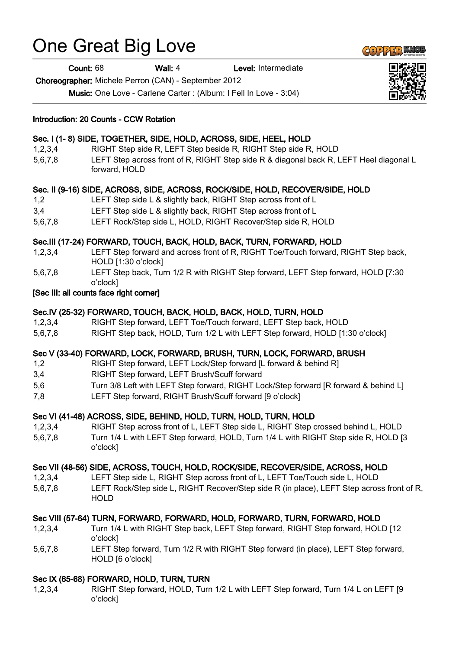# One Great Big Love

Count: 68 Wall: 4 Level: Intermediate

Choreographer: Michele Perron (CAN) - September 2012

Music: One Love - Carlene Carter : (Album: I Fell In Love - 3:04)

#### Introduction: 20 Counts - CCW Rotation

#### Sec. I (1- 8) SIDE, TOGETHER, SIDE, HOLD, ACROSS, SIDE, HEEL, HOLD

- 1,2,3,4 RIGHT Step side R, LEFT Step beside R, RIGHT Step side R, HOLD
- 5,6,7,8 LEFT Step across front of R, RIGHT Step side R & diagonal back R, LEFT Heel diagonal L forward, HOLD

### Sec. II (9-16) SIDE, ACROSS, SIDE, ACROSS, ROCK/SIDE, HOLD, RECOVER/SIDE, HOLD

- 1,2 LEFT Step side L & slightly back, RIGHT Step across front of L
- 3,4 LEFT Step side L & slightly back, RIGHT Step across front of L
- 5,6,7,8 LEFT Rock/Step side L, HOLD, RIGHT Recover/Step side R, HOLD

### Sec.III (17-24) FORWARD, TOUCH, BACK, HOLD, BACK, TURN, FORWARD, HOLD

- 1,2,3,4 LEFT Step forward and across front of R, RIGHT Toe/Touch forward, RIGHT Step back, HOLD [1:30 o'clock]
- 5,6,7,8 LEFT Step back, Turn 1/2 R with RIGHT Step forward, LEFT Step forward, HOLD [7:30 o'clock]

### [Sec III: all counts face right corner]

### Sec.IV (25-32) FORWARD, TOUCH, BACK, HOLD, BACK, HOLD, TURN, HOLD

- 1,2,3,4 RIGHT Step forward, LEFT Toe/Touch forward, LEFT Step back, HOLD
- 5,6,7,8 RIGHT Step back, HOLD, Turn 1/2 L with LEFT Step forward, HOLD [1:30 o'clock]

### Sec V (33-40) FORWARD, LOCK, FORWARD, BRUSH, TURN, LOCK, FORWARD, BRUSH

- 1,2 RIGHT Step forward, LEFT Lock/Step forward [L forward & behind R]
- 3,4 RIGHT Step forward, LEFT Brush/Scuff forward
- 5,6 Turn 3/8 Left with LEFT Step forward, RIGHT Lock/Step forward [R forward & behind L]
- 7,8 LEFT Step forward, RIGHT Brush/Scuff forward [9 o'clock]

### Sec VI (41-48) ACROSS, SIDE, BEHIND, HOLD, TURN, HOLD, TURN, HOLD

- 1,2,3,4 RIGHT Step across front of L, LEFT Step side L, RIGHT Step crossed behind L, HOLD
- 5,6,7,8 Turn 1/4 L with LEFT Step forward, HOLD, Turn 1/4 L with RIGHT Step side R, HOLD [3 o'clock]

### Sec VII (48-56) SIDE, ACROSS, TOUCH, HOLD, ROCK/SIDE, RECOVER/SIDE, ACROSS, HOLD

- 1,2,3,4 LEFT Step side L, RIGHT Step across front of L, LEFT Toe/Touch side L, HOLD
- 5,6,7,8 LEFT Rock/Step side L, RIGHT Recover/Step side R (in place), LEFT Step across front of R, HOLD

### Sec VIII (57-64) TURN, FORWARD, FORWARD, HOLD, FORWARD, TURN, FORWARD, HOLD

- 1,2,3,4 Turn 1/4 L with RIGHT Step back, LEFT Step forward, RIGHT Step forward, HOLD [12 o'clock]
- 5,6,7,8 LEFT Step forward, Turn 1/2 R with RIGHT Step forward (in place), LEFT Step forward, HOLD [6 o'clock]

### Sec IX (65-68) FORWARD, HOLD, TURN, TURN

1,2,3,4 RIGHT Step forward, HOLD, Turn 1/2 L with LEFT Step forward, Turn 1/4 L on LEFT [9 o'clock]